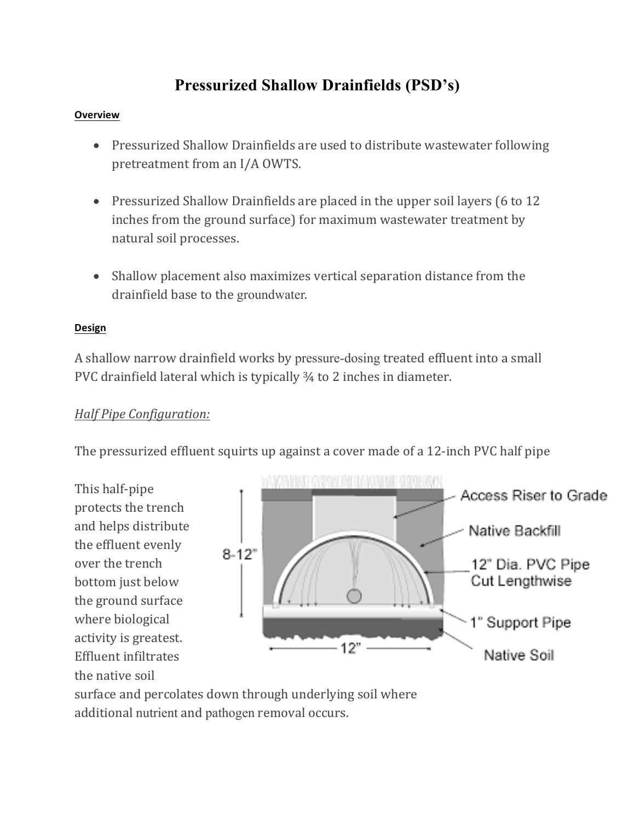# **Pressurized Shallow Drainfields (PSD's)**

#### **Overview**

- Pressurized Shallow Drainfields are used to distribute wastewater following pretreatment from an I/A OWTS.
- Pressurized Shallow Drainfields are placed in the upper soil layers (6 to 12) inches from the ground surface) for maximum wastewater treatment by natural soil processes.
- Shallow placement also maximizes vertical separation distance from the drainfield base to the groundwater.

### **Design**

A shallow narrow drainfield works by pressure-dosing treated effluent into a small PVC drainfield lateral which is typically  $\frac{3}{4}$  to 2 inches in diameter.

# *Half Pipe Configuration:*

The pressurized effluent squirts up against a cover made of a 12-inch PVC half pipe

This half-pipe protects the trench and helps distribute the effluent evenly over the trench bottom just below the ground surface where biological activity is greatest. Effluent infiltrates the native soil



surface and percolates down through underlying soil where additional nutrient and pathogen removal occurs.